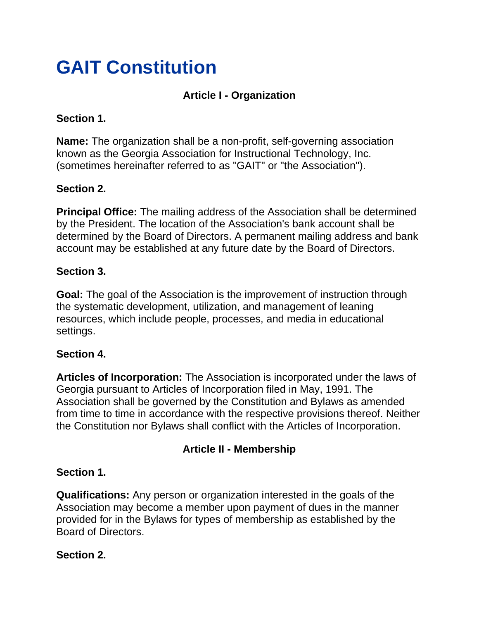# **GAIT Constitution**

## **Article I - Organization**

## **Section 1.**

**Name:** The organization shall be a non-profit, self-governing association known as the Georgia Association for Instructional Technology, Inc. (sometimes hereinafter referred to as "GAIT" or "the Association").

## **Section 2.**

**Principal Office:** The mailing address of the Association shall be determined by the President. The location of the Association's bank account shall be determined by the Board of Directors. A permanent mailing address and bank account may be established at any future date by the Board of Directors.

## **Section 3.**

**Goal:** The goal of the Association is the improvement of instruction through the systematic development, utilization, and management of leaning resources, which include people, processes, and media in educational settings.

### **Section 4.**

**Articles of Incorporation:** The Association is incorporated under the laws of Georgia pursuant to Articles of Incorporation filed in May, 1991. The Association shall be governed by the Constitution and Bylaws as amended from time to time in accordance with the respective provisions thereof. Neither the Constitution nor Bylaws shall conflict with the Articles of Incorporation.

## **Article II - Membership**

### **Section 1.**

**Qualifications:** Any person or organization interested in the goals of the Association may become a member upon payment of dues in the manner provided for in the Bylaws for types of membership as established by the Board of Directors.

### **Section 2.**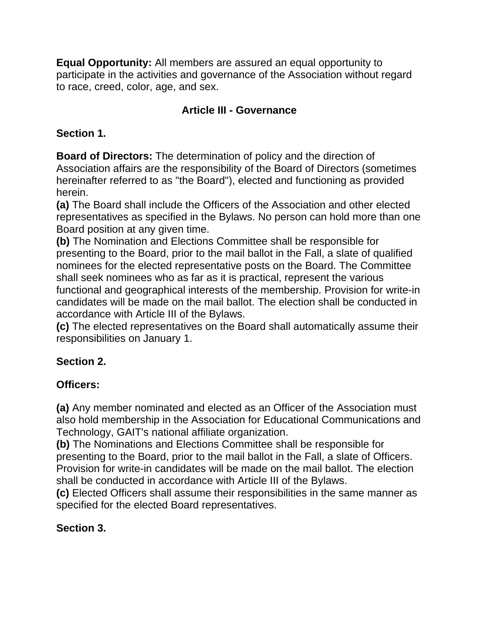**Equal Opportunity:** All members are assured an equal opportunity to participate in the activities and governance of the Association without regard to race, creed, color, age, and sex.

## **Article III - Governance**

## **Section 1.**

**Board of Directors:** The determination of policy and the direction of Association affairs are the responsibility of the Board of Directors (sometimes hereinafter referred to as "the Board"), elected and functioning as provided herein.

**(a)** The Board shall include the Officers of the Association and other elected representatives as specified in the Bylaws. No person can hold more than one Board position at any given time.

**(b)** The Nomination and Elections Committee shall be responsible for presenting to the Board, prior to the mail ballot in the Fall, a slate of qualified nominees for the elected representative posts on the Board. The Committee shall seek nominees who as far as it is practical, represent the various functional and geographical interests of the membership. Provision for write-in candidates will be made on the mail ballot. The election shall be conducted in accordance with Article III of the Bylaws.

**(c)** The elected representatives on the Board shall automatically assume their responsibilities on January 1.

## **Section 2.**

# **Officers:**

**(a)** Any member nominated and elected as an Officer of the Association must also hold membership in the Association for Educational Communications and Technology, GAIT's national affiliate organization.

**(b)** The Nominations and Elections Committee shall be responsible for presenting to the Board, prior to the mail ballot in the Fall, a slate of Officers. Provision for write-in candidates will be made on the mail ballot. The election shall be conducted in accordance with Article III of the Bylaws.

**(c)** Elected Officers shall assume their responsibilities in the same manner as specified for the elected Board representatives.

## **Section 3.**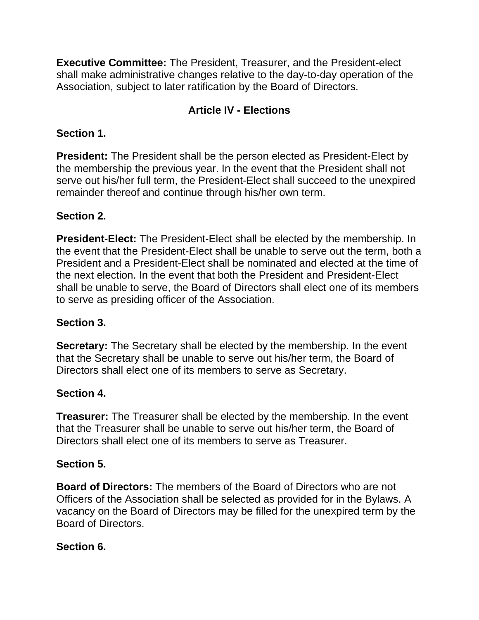**Executive Committee:** The President, Treasurer, and the President-elect shall make administrative changes relative to the day-to-day operation of the Association, subject to later ratification by the Board of Directors.

## **Article IV - Elections**

## **Section 1.**

**President:** The President shall be the person elected as President-Elect by the membership the previous year. In the event that the President shall not serve out his/her full term, the President-Elect shall succeed to the unexpired remainder thereof and continue through his/her own term.

## **Section 2.**

**President-Elect:** The President-Elect shall be elected by the membership. In the event that the President-Elect shall be unable to serve out the term, both a President and a President-Elect shall be nominated and elected at the time of the next election. In the event that both the President and President-Elect shall be unable to serve, the Board of Directors shall elect one of its members to serve as presiding officer of the Association.

### **Section 3.**

**Secretary:** The Secretary shall be elected by the membership. In the event that the Secretary shall be unable to serve out his/her term, the Board of Directors shall elect one of its members to serve as Secretary.

### **Section 4.**

**Treasurer:** The Treasurer shall be elected by the membership. In the event that the Treasurer shall be unable to serve out his/her term, the Board of Directors shall elect one of its members to serve as Treasurer.

### **Section 5.**

**Board of Directors:** The members of the Board of Directors who are not Officers of the Association shall be selected as provided for in the Bylaws. A vacancy on the Board of Directors may be filled for the unexpired term by the Board of Directors.

### **Section 6.**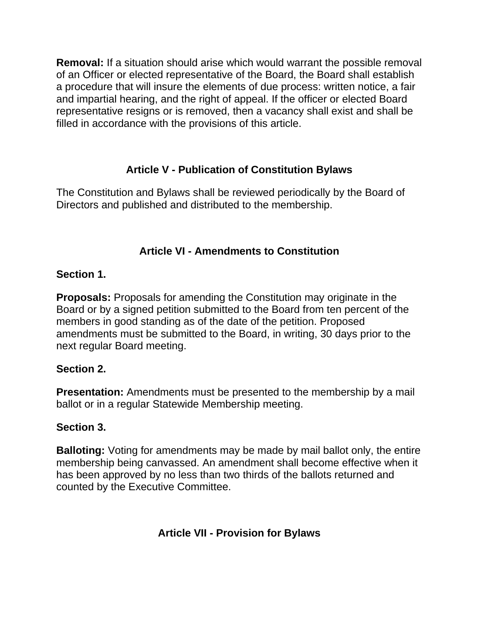**Removal:** If a situation should arise which would warrant the possible removal of an Officer or elected representative of the Board, the Board shall establish a procedure that will insure the elements of due process: written notice, a fair and impartial hearing, and the right of appeal. If the officer or elected Board representative resigns or is removed, then a vacancy shall exist and shall be filled in accordance with the provisions of this article.

# **Article V - Publication of Constitution Bylaws**

The Constitution and Bylaws shall be reviewed periodically by the Board of Directors and published and distributed to the membership.

## **Article VI - Amendments to Constitution**

## **Section 1.**

**Proposals:** Proposals for amending the Constitution may originate in the Board or by a signed petition submitted to the Board from ten percent of the members in good standing as of the date of the petition. Proposed amendments must be submitted to the Board, in writing, 30 days prior to the next regular Board meeting.

### **Section 2.**

**Presentation:** Amendments must be presented to the membership by a mail ballot or in a regular Statewide Membership meeting.

### **Section 3.**

**Balloting:** Voting for amendments may be made by mail ballot only, the entire membership being canvassed. An amendment shall become effective when it has been approved by no less than two thirds of the ballots returned and counted by the Executive Committee.

**Article VII - Provision for Bylaws**